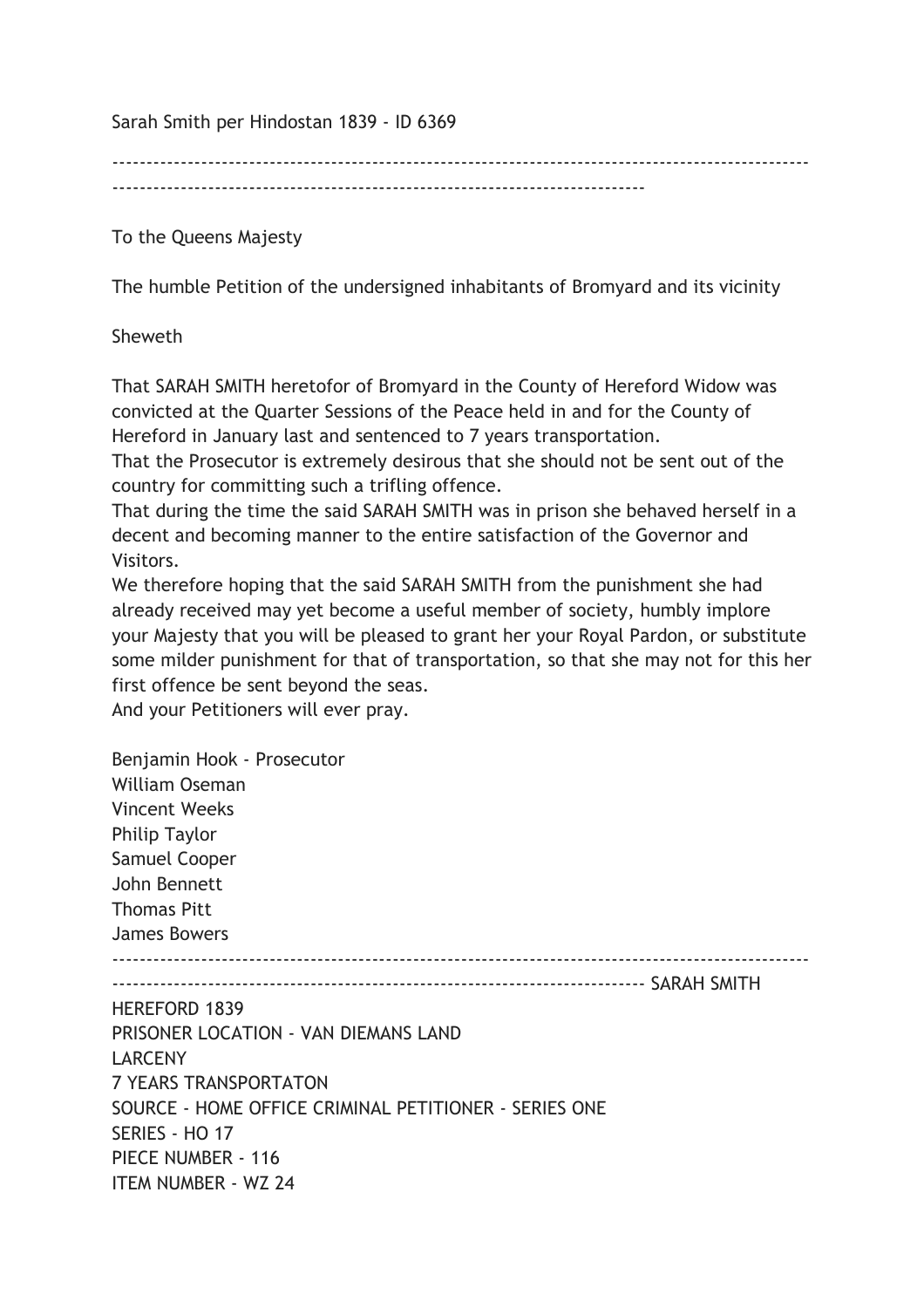Sarah Smith per Hindostan 1839 - ID 6369

------------------------------------------------------------------------------------------------------

To the Queens Majesty

The humble Petition of the undersigned inhabitants of Bromyard and its vicinity

Sheweth

That SARAH SMITH heretofor of Bromyard in the County of Hereford Widow was convicted at the Quarter Sessions of the Peace held in and for the County of Hereford in January last and sentenced to 7 years transportation.

That the Prosecutor is extremely desirous that she should not be sent out of the country for committing such a trifling offence.

That during the time the said SARAH SMITH was in prison she behaved herself in a decent and becoming manner to the entire satisfaction of the Governor and Visitors.

We therefore hoping that the said SARAH SMITH from the punishment she had already received may yet become a useful member of society, humbly implore your Majesty that you will be pleased to grant her your Royal Pardon, or substitute some milder punishment for that of transportation, so that she may not for this her first offence be sent beyond the seas.

And your Petitioners will ever pray.

Benjamin Hook - Prosecutor William Oseman Vincent Weeks Philip Taylor Samuel Cooper John Bennett Thomas Pitt James Bowers ------------------------------------------------------------------------------------------------------ ------------------------------------------------------------------------------ SARAH SMITH HEREFORD 1839 PRISONER LOCATION - VAN DIEMANS LAND LARCENY 7 YEARS TRANSPORTATON SOURCE - HOME OFFICE CRIMINAL PETITIONER - SERIES ONE SERIES - HO 17 PIECE NUMBER - 116 ITEM NUMBER - WZ 24